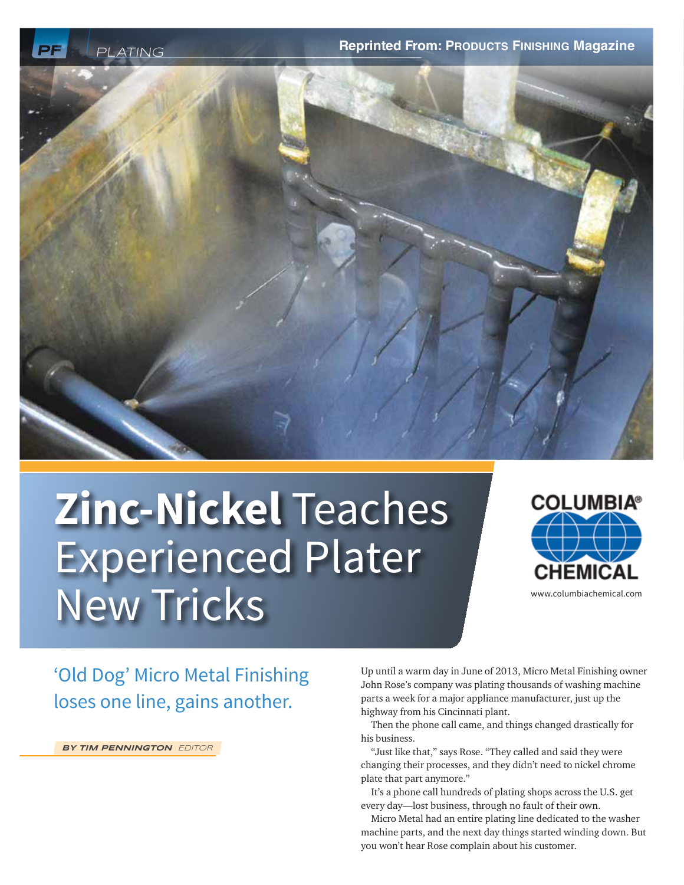



# **Zinc-Nickel** Teaches Experienced Plater New Tricks



www.columbiachemical.com

'Old Dog' Micro Metal Finishing loses one line, gains another.

**BY TIM PENNINGTON** EDITOR

Up until a warm day in June of 2013, Micro Metal Finishing owner John Rose's company was plating thousands of washing machine parts a week for a major appliance manufacturer, just up the highway from his Cincinnati plant.

Then the phone call came, and things changed drastically for his business.

"Just like that," says Rose. "They called and said they were changing their processes, and they didn't need to nickel chrome plate that part anymore."

It's a phone call hundreds of plating shops across the U.S. get every day—lost business, through no fault of their own.

Micro Metal had an entire plating line dedicated to the washer machine parts, and the next day things started winding down. But you won't hear Rose complain about his customer.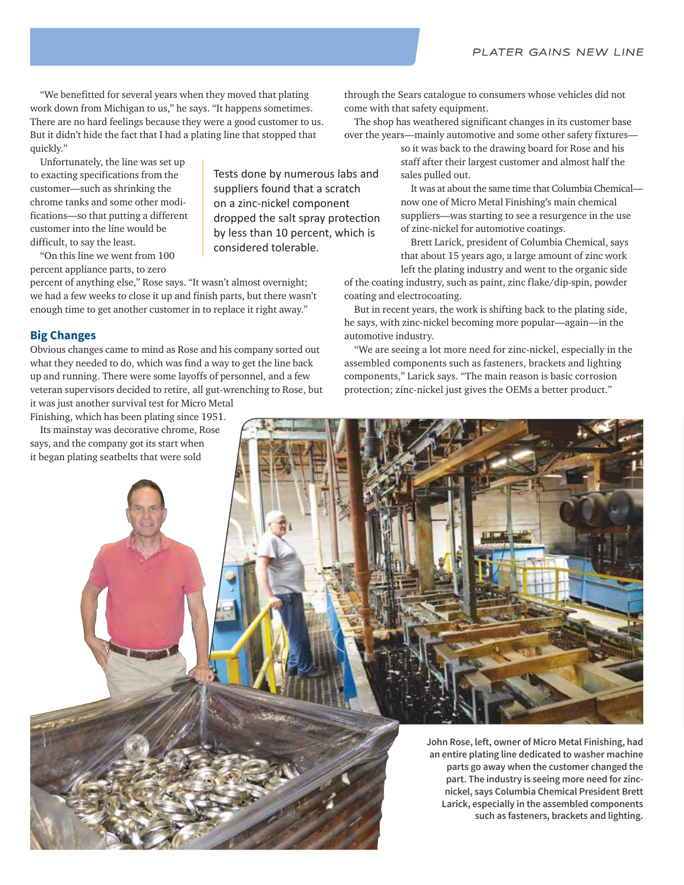"We benefitted for several years when they moved that plating work down from Michigan to us," he says. "It happens sometimes. There are no hard feelings because they were a good customer to us. But it didn't hide the fact that I had a plating line that stopped that quickly."

Unfortunately, the line was set up to exacting specifications from the customer—such as shrinking the chrome tanks and some other modifications—so that putting a different customer into the line would be difficult, to say the least.

"On this line we went from 100 percent appliance parts, to zero

percent of anything else," Rose says. "It wasn't almost overnight; we had a few weeks to close it up and finish parts, but there wasn't enough time to get another customer in to replace it right away."

# **Big Changes**

Obvious changes came to mind as Rose and his company sorted out what they needed to do, which was find a way to get the line back up and running. There were some layoffs of personnel, and a few veteran supervisors decided to retire, all gut-wrenching to Rose, but it was just another survival test for Micro Metal

Finishing, which has been plating since 1951.

Its mainstay was decorative chrome, Rose says, and the company got its start when it began plating seatbelts that were sold

Tests done by numerous labs and suppliers found that a scratch on a zinc-nickel component dropped the salt spray protection by less than 10 percent, which is considered tolerable.

through the Sears catalogue to consumers whose vehicles did not come with that safety equipment.

The shop has weathered significant changes in its customer base over the years—mainly automotive and some other safety fixtures—

> so it was back to the drawing board for Rose and his staff after their largest customer and almost half the sales pulled out.

It was at about the same time that Columbia Chemical now one of Micro Metal Finishing's main chemical suppliers—was starting to see a resurgence in the use of zinc-nickel for automotive coatings.

Brett Larick, president of Columbia Chemical, says that about 15 years ago, a large amount of zinc work left the plating industry and went to the organic side

of the coating industry, such as paint, zinc flake/dip-spin, powder coating and electrocoating.

But in recent years, the work is shifting back to the plating side, he says, with zinc-nickel becoming more popular—again—in the automotive industry.

"We are seeing a lot more need for zinc-nickel, especially in the assembled components such as fasteners, brackets and lighting components," Larick says. "The main reason is basic corrosion protection; zinc-nickel just gives the OEMs a better product."

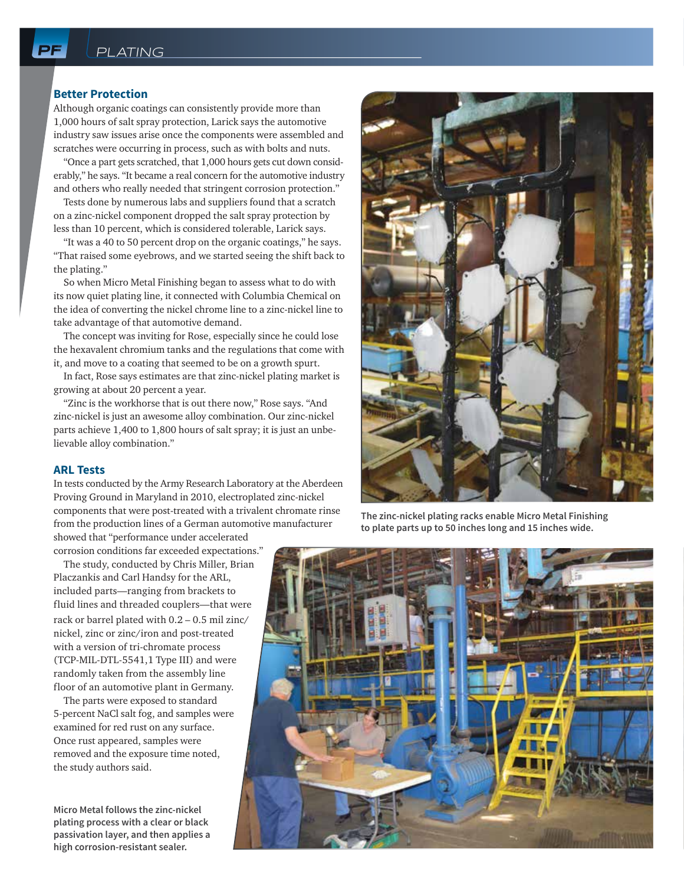# **Better Protection**

Although organic coatings can consistently provide more than 1,000 hours of salt spray protection, Larick says the automotive industry saw issues arise once the components were assembled and scratches were occurring in process, such as with bolts and nuts.

"Once a part gets scratched, that 1,000 hours gets cut down considerably," he says. "It became a real concern for the automotive industry and others who really needed that stringent corrosion protection."

Tests done by numerous labs and suppliers found that a scratch on a zinc-nickel component dropped the salt spray protection by less than 10 percent, which is considered tolerable, Larick says.

"It was a 40 to 50 percent drop on the organic coatings," he says. "That raised some eyebrows, and we started seeing the shift back to the plating."

So when Micro Metal Finishing began to assess what to do with its now quiet plating line, it connected with Columbia Chemical on the idea of converting the nickel chrome line to a zinc-nickel line to take advantage of that automotive demand.

The concept was inviting for Rose, especially since he could lose the hexavalent chromium tanks and the regulations that come with it, and move to a coating that seemed to be on a growth spurt.

In fact, Rose says estimates are that zinc-nickel plating market is growing at about 20 percent a year.

"Zinc is the workhorse that is out there now," Rose says. "And zinc-nickel is just an awesome alloy combination. Our zinc-nickel parts achieve 1,400 to 1,800 hours of salt spray; it is just an unbelievable alloy combination."

### **ARL Tests**

In tests conducted by the Army Research Laboratory at the Aberdeen Proving Ground in Maryland in 2010, electroplated zinc-nickel components that were post-treated with a trivalent chromate rinse from the production lines of a German automotive manufacturer

showed that "performance under accelerated corrosion conditions far exceeded expectations."

The study, conducted by Chris Miller, Brian Placzankis and Carl Handsy for the ARL, included parts—ranging from brackets to fluid lines and threaded couplers—that were rack or barrel plated with 0.2 – 0.5 mil zinc/ nickel, zinc or zinc/iron and post-treated with a version of tri-chromate process (TCP-MIL-DTL-5541,1 Type III) and were randomly taken from the assembly line floor of an automotive plant in Germany.

The parts were exposed to standard 5-percent NaCl salt fog, and samples were examined for red rust on any surface. Once rust appeared, samples were removed and the exposure time noted, the study authors said.

**Micro Metal follows the zinc-nickel plating process with a clear or black passivation layer, and then applies a high corrosion-resistant sealer.**



**The zinc-nickel plating racks enable Micro Metal Finishing to plate parts up to 50 inches long and 15 inches wide.**